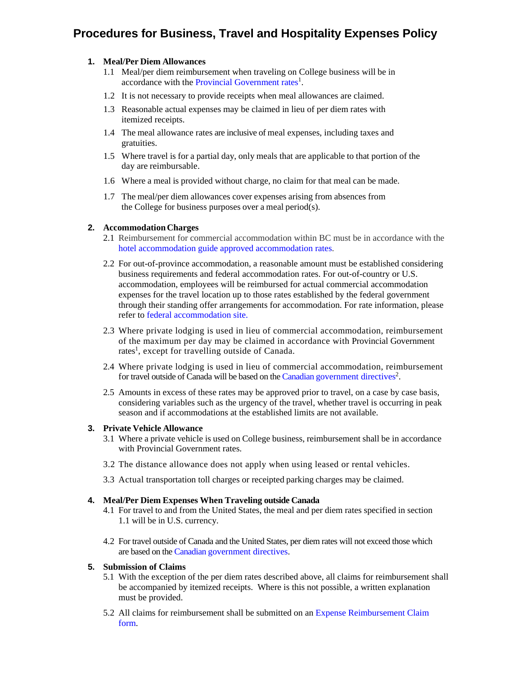# **Procedures for Business, Travel and Hospitality Expenses Policy**

## **1. Meal/Per Diem Allowances**

- 1.1 Meal/per diem reimbursement when traveling on College business will be in accordance with the [Provincial Government rates](https://www2.gov.bc.ca/assets/gov/careers/all-employees/pay-and-benefits/appendix_1_travel_allowances.pdf)<sup>1</sup>.
- 1.2 It is not necessary to provide receipts when meal allowances are claimed.
- 1.3 Reasonable actual expenses may be claimed in lieu of per diem rates with itemized receipts.
- 1.4 The meal allowance rates are inclusive of meal expenses, including taxes and gratuities.
- 1.5 Where travel is for a partial day, only meals that are applicable to that portion of the day are reimbursable.
- 1.6 Where a meal is provided without charge, no claim for that meal can be made.
- 1.7 The meal/per diem allowances cover expenses arising from absences from the College for business purposes over a meal period(s).

### **2. Accommodation Charges**

- 2.1 Reimbursement for commercial accommodation within BC must be in accordance with the [hotel accommodation guide approved accommodation rates.](http://csa.pss.gov.bc.ca/businesstravel/)
- 2.2 For out-of-province accommodation, a reasonable amount must be established considering business requirements and federal accommodation rates. For out-of-country or U.S. accommodation, employees will be reimbursed for actual commercial accommodation expenses for the travel location up to those rates established by the federal government through their standing offer arrangements for accommodation. For rate information, please refer to [federal accommodation site.](http://rehelv-acrd.tpsgc-pwgsc.gc.ca/acrds/index-eng.aspx)
- 2.3 Where private lodging is used in lieu of commercial accommodation, reimbursement of the maximum per day may be claimed in accordance with Provincial Government rates<sup>1</sup>, except for travelling outside of Canada.
- 2.4 Where private lodging is used in lieu of commercial accommodation, reimbursement for travel outside of Canada will be based on the [Canadian government directives](http://www.njc-cnm.gc.ca/directive/travel-voyage/s-td-dv-a4-eng.php)<sup>2</sup>.
- 2.5 Amounts in excess of these rates may be approved prior to travel, on a case by case basis, considering variables such as the urgency of the travel, whether travel is occurring in peak season and if accommodations at the established limits are not available.

### **3. Private Vehicle Allowance**

- 3.1 Where a private vehicle is used on College business, reimbursement shall be in accordance with Provincial Government rates.
- 3.2 The distance allowance does not apply when using leased or rental vehicles.
- 3.3 Actual transportation toll charges or receipted parking charges may be claimed.

### **4. Meal/Per Diem Expenses When Traveling outside Canada**

- 4.1 For travel to and from the United States, the meal and per diem rates specified in section 1.1 will be in U.S. currency.
- 4.2 For travel outside of Canada and the United States, per diem rates will not exceed those which are based on the [Canadian government directives.](http://www.njc-cnm.gc.ca/directive/travel-voyage/s-td-dv-a4-eng.php)

### **5. Submission of Claims**

- 5.1 With the exception of the per diem rates described above, all claims for reimbursement shall be accompanied by itemized receipts. Where is this not possible, a written explanation must be provided.
- 5.2 [All claims for reimbursement shall be submitted on an Expense Reimbursement Claim](https://langara.ca/departments/financial-services/pdfs/langara_expense_report_postApr12018.pdf)  form.